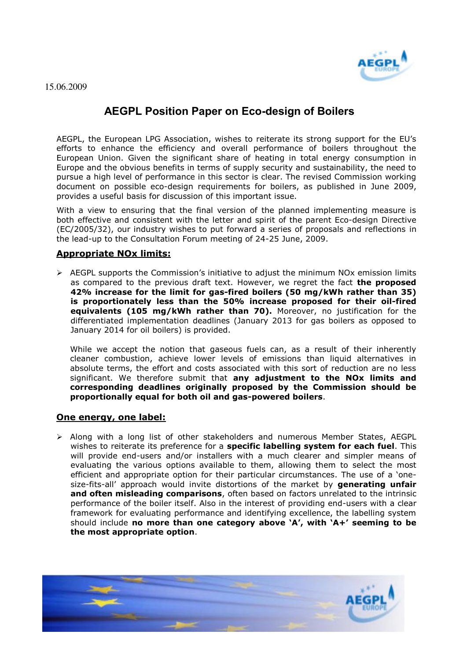

## **AEGPL Position Paper on Eco-design of Boilers**

AEGPL, the European LPG Association, wishes to reiterate its strong support for the EU's efforts to enhance the efficiency and overall performance of boilers throughout the European Union. Given the significant share of heating in total energy consumption in Europe and the obvious benefits in terms of supply security and sustainability, the need to pursue a high level of performance in this sector is clear. The revised Commission working document on possible eco-design requirements for boilers, as published in June 2009, provides a useful basis for discussion of this important issue.

With a view to ensuring that the final version of the planned implementing measure is both effective and consistent with the letter and spirit of the parent Eco-design Directive (EC/2005/32), our industry wishes to put forward a series of proposals and reflections in the lead-up to the Consultation Forum meeting of 24-25 June, 2009.

## **Appropriate NOx limits:**

 $\triangleright$  AEGPL supports the Commission's initiative to adjust the minimum NOx emission limits as compared to the previous draft text. However, we regret the fact **the proposed 42% increase for the limit for gas-fired boilers (50 mg/kWh rather than 35) is proportionately less than the 50% increase proposed for their oil-fired equivalents (105 mg/kWh rather than 70).** Moreover, no justification for the differentiated implementation deadlines (January 2013 for gas boilers as opposed to January 2014 for oil boilers) is provided.

While we accept the notion that gaseous fuels can, as a result of their inherently cleaner combustion, achieve lower levels of emissions than liquid alternatives in absolute terms, the effort and costs associated with this sort of reduction are no less significant. We therefore submit that **any adjustment to the NOx limits and corresponding deadlines originally proposed by the Commission should be proportionally equal for both oil and gas-powered boilers**.

## **One energy, one label:**

 $\triangleright$  Along with a long list of other stakeholders and numerous Member States, AEGPL wishes to reiterate its preference for a **specific labelling system for each fuel**. This will provide end-users and/or installers with a much clearer and simpler means of evaluating the various options available to them, allowing them to select the most efficient and appropriate option for their particular circumstances. The use of a 'onesize-fits-all' approach would invite distortions of the market by **generating unfair and often misleading comparisons**, often based on factors unrelated to the intrinsic performance of the boiler itself. Also in the interest of providing end-users with a clear framework for evaluating performance and identifying excellence, the labelling system should include **no more than one category above "A", with "A+" seeming to be the most appropriate option**.